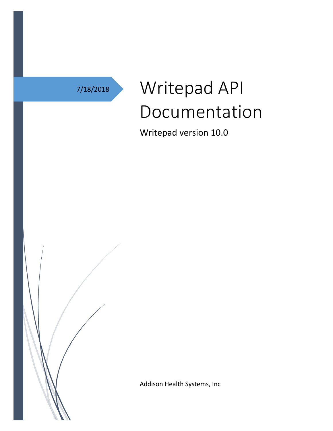# 7/18/2018 Writepad API Documentation

Writepad version 10.0

Addison Health Systems, Inc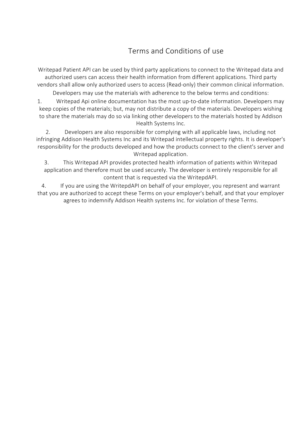## Terms and Conditions of use

Writepad Patient API can be used by third party applications to connect to the Writepad data and authorized users can access their health information from different applications. Third party vendors shall allow only authorized users to access (Read-only) their common clinical information.

Developers may use the materials with adherence to the below terms and conditions:

1. Writepad Api online documentation has the most up-to-date information. Developers may keep copies of the materials; but, may not distribute a copy of the materials. Developers wishing to share the materials may do so via linking other developers to the materials hosted by Addison Health Systems Inc.

2. Developers are also responsible for complying with all applicable laws, including not infringing Addison Health Systems Inc and its Writepad intellectual property rights. It is developer's responsibility for the products developed and how the products connect to the client's server and Writepad application.

3. This Writepad API provides protected health information of patients within Writepad application and therefore must be used securely. The developer is entirely responsible for all content that is requested via the WritepdAPI.

4. If you are using the WritepdAPI on behalf of your employer, you represent and warrant that you are authorized to accept these Terms on your employer's behalf, and that your employer agrees to indemnify Addison Health systems Inc. for violation of these Terms.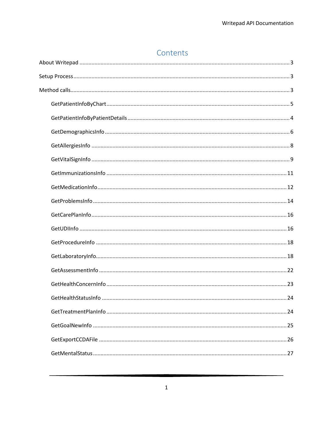#### Contents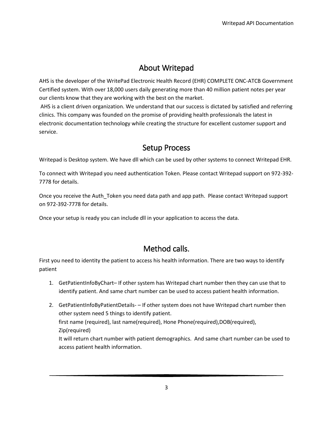#### About Writepad

<span id="page-4-0"></span>AHS is the developer of the WritePad Electronic Health Record (EHR) COMPLETE ONC-ATCB Government Certified system. With over 18,000 users daily generating more than 40 million patient notes per year our clients know that they are working with the best on the market.

AHS is a client driven organization. We understand that our success is dictated by satisfied and referring clinics. This company was founded on the promise of providing health professionals the latest in electronic documentation technology while creating the structure for excellent customer support and service.

#### Setup Process

<span id="page-4-1"></span>Writepad is Desktop system. We have dll which can be used by other systems to connect Writepad EHR.

To connect with Writepad you need authentication Token. Please contact Writepad support on 972-392- 7778 for details.

Once you receive the Auth\_Token you need data path and app path. Please contact Writepad support on 972-392-7778 for details.

Once your setup is ready you can include dll in your application to access the data.

### Method calls.

<span id="page-4-2"></span>First you need to identity the patient to access his health information. There are two ways to identify patient

- 1. GetPatientInfoByChart– If other system has Writepad chart number then they can use that to identify patient. And same chart number can be used to access patient health information.
- 2. GetPatientInfoByPatientDetails- If other system does not have Writepad chart number then other system need 5 things to identify patient. first name (required), last name(required), Hone Phone(required), DOB(required), Zip(required) It will return chart number with patient demographics. And same chart number can be used to access patient health information.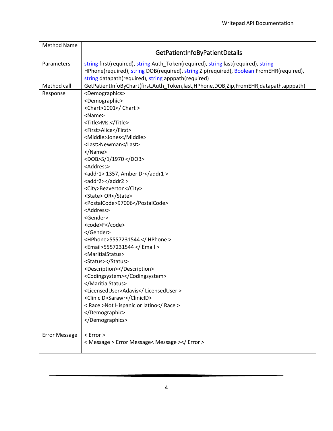<span id="page-5-0"></span>

| <b>Method Name</b>   |                                                                                                                                                                                                                                                                                                                                                                                                                                                                                                                                                                                                                                                                                                                                                                                                                  |
|----------------------|------------------------------------------------------------------------------------------------------------------------------------------------------------------------------------------------------------------------------------------------------------------------------------------------------------------------------------------------------------------------------------------------------------------------------------------------------------------------------------------------------------------------------------------------------------------------------------------------------------------------------------------------------------------------------------------------------------------------------------------------------------------------------------------------------------------|
|                      | GetPatientInfoByPatientDetails                                                                                                                                                                                                                                                                                                                                                                                                                                                                                                                                                                                                                                                                                                                                                                                   |
| Parameters           | string first(required), string Auth_Token(required), string last(required), string<br>HPhone(required), string DOB(required), string Zip(required), Boolean FromEHR(required),<br>string datapath(required), string apppath(required)                                                                                                                                                                                                                                                                                                                                                                                                                                                                                                                                                                            |
| Method call          | GetPatientInfoByChart(first,Auth_Token,last,HPhone,DOB,Zip,FromEHR,datapath,apppath)                                                                                                                                                                                                                                                                                                                                                                                                                                                                                                                                                                                                                                                                                                                             |
| Response             | <demographics><br/><demographic><br/><chart>1001</chart><br/><name><br/><title>Ms.</title><br/><first>Alice</first><br/><middle>Jones</middle><br/><last>Newman</last><br/></name><br/><dob>5/1/1970 </dob><br/><address><br/><addr1> 1357, Amber Dr</addr1><br/><addr2></addr2><br/><city>Beaverton</city><br/><state> OR</state><br/><postalcode>97006</postalcode><br/><address><br/><gender><br/><code>F</code><br/></gender><br/><hphone>5557231544 </hphone><br/><email>5557231544 </email><br/><maritialstatus><br/><status></status><br/><description></description><br/><codingsystem></codingsystem><br/></maritialstatus><br/><licenseduser>Adavis</licenseduser><br/><clinicid>Sarawr</clinicid><br/>&lt; Race &gt;Not Hispanic or latino<br/></address></address></demographic><br/></demographics> |
| <b>Error Message</b> | $<$ Error $>$<br>< Message > Error Message< Message >                                                                                                                                                                                                                                                                                                                                                                                                                                                                                                                                                                                                                                                                                                                                                            |
|                      |                                                                                                                                                                                                                                                                                                                                                                                                                                                                                                                                                                                                                                                                                                                                                                                                                  |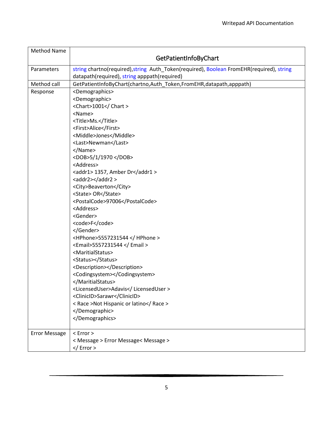<span id="page-6-0"></span>

| <b>Method Name</b>   | GetPatientInfoByChart                                                                                                                                                                                                                                                                                                                                                                                                                                                                                               |
|----------------------|---------------------------------------------------------------------------------------------------------------------------------------------------------------------------------------------------------------------------------------------------------------------------------------------------------------------------------------------------------------------------------------------------------------------------------------------------------------------------------------------------------------------|
| Parameters           | string chartno(required), string Auth_Token(required), Boolean FromEHR(required), string<br>datapath(required), string apppath(required)                                                                                                                                                                                                                                                                                                                                                                            |
| Method call          | GetPatientInfoByChart(chartno,Auth Token,FromEHR,datapath,apppath)                                                                                                                                                                                                                                                                                                                                                                                                                                                  |
| Response             | <demographics><br/><demographic><br/><chart>1001</chart><br/><name><br/><title>Ms.</title><br/><first>Alice</first><br/><middle>Jones</middle><br/><last>Newman</last><br/></name><br/><dob>5/1/1970 </dob><br/><address><br/><addr1> 1357, Amber Dr</addr1><br/><addr2></addr2><br/><city>Beaverton</city><br/><state> OR</state><br/><postalcode>97006</postalcode><br/><address><br/><gender><br/><code>F</code><br/></gender><br/><hphone>5557231544 </hphone></address></address></demographic></demographics> |
|                      | <email>5557231544 </email><br><maritialstatus><br/><status></status><br/><description></description><br/><codingsystem></codingsystem><br/></maritialstatus><br><licenseduser>Adavis</licenseduser><br><clinicid>Sarawr</clinicid><br>< Race >Not Hispanic or latino<br><br>                                                                                                                                                                                                                                        |
| <b>Error Message</b> | $<$ Error $>$<br>< Message > Error Message< Message ><br>$\frac{2}{\sqrt{2}}$ Error >                                                                                                                                                                                                                                                                                                                                                                                                                               |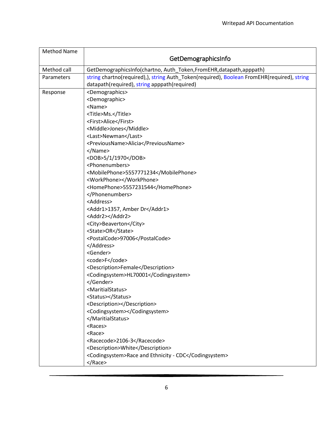<span id="page-7-0"></span>

| <b>Method Name</b> | GetDemographicsInfo                                                                                                                        |
|--------------------|--------------------------------------------------------------------------------------------------------------------------------------------|
| Method call        | GetDemographicsInfo(chartno, Auth_Token, FromEHR, datapath, apppath)                                                                       |
| Parameters         | string chartno(required),), string Auth_Token(required), Boolean FromEHR(required), string<br>datapath(required), string apppath(required) |
| Response           | <demographics></demographics>                                                                                                              |
|                    | <demographic></demographic>                                                                                                                |
|                    | <name></name>                                                                                                                              |
|                    | <title>Ms.</title>                                                                                                                         |
|                    | <first>Alice</first>                                                                                                                       |
|                    | <middle>Jones</middle>                                                                                                                     |
|                    | <last>Newman</last>                                                                                                                        |
|                    | <previousname>Alicia</previousname>                                                                                                        |
|                    |                                                                                                                                            |
|                    | <dob>5/1/1970</dob>                                                                                                                        |
|                    | <phonenumbers></phonenumbers>                                                                                                              |
|                    | <mobilephone>5557771234</mobilephone>                                                                                                      |
|                    | <workphone></workphone>                                                                                                                    |
|                    | <homephone>5557231544</homephone>                                                                                                          |
|                    |                                                                                                                                            |
|                    | <address></address>                                                                                                                        |
|                    | <addr1>1357, Amber Dr</addr1>                                                                                                              |
|                    | <addr2></addr2>                                                                                                                            |
|                    | <city>Beaverton</city>                                                                                                                     |
|                    | <state>OR</state>                                                                                                                          |
|                    | <postalcode>97006</postalcode>                                                                                                             |
|                    | <br><gender></gender>                                                                                                                      |
|                    | <code>F</code>                                                                                                                             |
|                    |                                                                                                                                            |
|                    | <description>Female</description><br><codingsystem>HL70001</codingsystem>                                                                  |
|                    |                                                                                                                                            |
|                    | <maritialstatus></maritialstatus>                                                                                                          |
|                    | <status></status>                                                                                                                          |
|                    | <description></description>                                                                                                                |
|                    | <codingsystem></codingsystem>                                                                                                              |
|                    |                                                                                                                                            |
|                    | <races></races>                                                                                                                            |
|                    | <race></race>                                                                                                                              |
|                    | <racecode>2106-3</racecode>                                                                                                                |
|                    | <description>White</description>                                                                                                           |
|                    | <codingsystem>Race and Ethnicity - CDC</codingsystem>                                                                                      |
|                    |                                                                                                                                            |
|                    |                                                                                                                                            |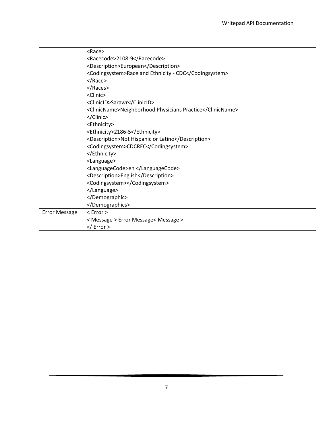|                      | $<$ Race $>$                                              |
|----------------------|-----------------------------------------------------------|
|                      | <racecode>2108-9</racecode>                               |
|                      | <description>European</description>                       |
|                      | <codingsystem>Race and Ethnicity - CDC</codingsystem>     |
|                      |                                                           |
|                      |                                                           |
|                      | <clinic></clinic>                                         |
|                      | <clinicid>Sarawr</clinicid>                               |
|                      | <clinicname>Neighborhood Physicians Practice</clinicname> |
|                      |                                                           |
|                      | <ethnicity></ethnicity>                                   |
|                      | <ethnicity>2186-5</ethnicity>                             |
|                      | <description>Not Hispanic or Latino</description>         |
|                      | <codingsystem>CDCREC</codingsystem>                       |
|                      |                                                           |
|                      | <language></language>                                     |
|                      | <languagecode>en </languagecode>                          |
|                      | <description>English</description>                        |
|                      | <codingsystem></codingsystem>                             |
|                      |                                                           |
|                      |                                                           |
|                      |                                                           |
| <b>Error Message</b> | $<$ Error $>$                                             |
|                      | < Message > Error Message< Message >                      |
|                      | $\frac{2}{\sqrt{2}}$ Error >                              |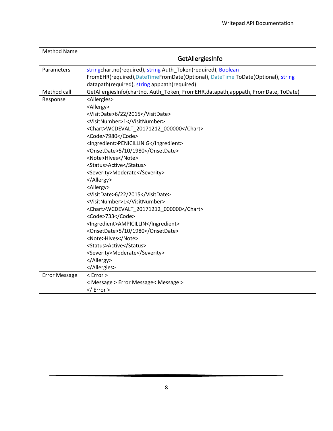<span id="page-9-0"></span>

| <b>Method Name</b>   |                                                                                   |
|----------------------|-----------------------------------------------------------------------------------|
|                      | GetAllergiesInfo                                                                  |
| Parameters           | stringchartno(required), string Auth_Token(required), Boolean                     |
|                      | FromEHR(required),DateTimeFromDate(Optional), DateTime ToDate(Optional), string   |
|                      | datapath(required), string apppath(required)                                      |
| Method call          | GetAllergiesInfo(chartno, Auth_Token, FromEHR,datapath,apppath, FromDate, ToDate) |
| Response             | <allergies></allergies>                                                           |
|                      | <allergy></allergy>                                                               |
|                      | <visitdate>6/22/2015</visitdate>                                                  |
|                      | <visitnumber>1</visitnumber>                                                      |
|                      | <chart>WCDEVALT_20171212_000000</chart>                                           |
|                      | <code>7980</code>                                                                 |
|                      | <ingredient>PENICILLIN G</ingredient>                                             |
|                      | <onsetdate>5/10/1980</onsetdate>                                                  |
|                      | <note>Hlves</note>                                                                |
|                      | <status>Active</status>                                                           |
|                      | <severity>Moderate</severity>                                                     |
|                      |                                                                                   |
|                      | <allergy></allergy>                                                               |
|                      | <visitdate>6/22/2015</visitdate>                                                  |
|                      | <visitnumber>1</visitnumber>                                                      |
|                      | <chart>WCDEVALT 20171212 000000</chart>                                           |
|                      | <code>733</code>                                                                  |
|                      | <ingredient>AMPICILLIN</ingredient>                                               |
|                      | <onsetdate>5/10/1980</onsetdate>                                                  |
|                      | <note>HIves</note>                                                                |
|                      | <status>Active</status>                                                           |
|                      | <severity>Moderate</severity>                                                     |
|                      |                                                                                   |
|                      |                                                                                   |
| <b>Error Message</b> | $<$ Error $>$                                                                     |
|                      | < Message > Error Message< Message >                                              |
|                      | $\frac{2}{\sqrt{2}}$ Error >                                                      |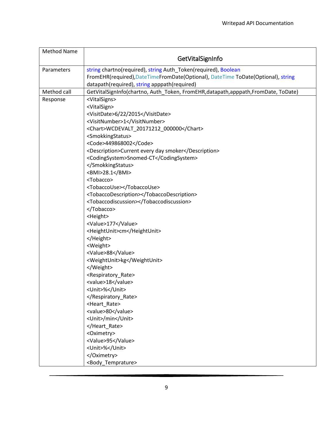<span id="page-10-0"></span>

| <b>Method Name</b> | GetVitalSignInfo                                                                                                                                  |
|--------------------|---------------------------------------------------------------------------------------------------------------------------------------------------|
| Parameters         | string chartno(required), string Auth_Token(required), Boolean<br>FromEHR(required),DateTimeFromDate(Optional), DateTime ToDate(Optional), string |
|                    | datapath(required), string apppath(required)                                                                                                      |
| Method call        | GetVitalSignInfo(chartno, Auth_Token, FromEHR,datapath,apppath,FromDate, ToDate)                                                                  |
| Response           | <vitalsigns></vitalsigns>                                                                                                                         |
|                    | <vitalsign></vitalsign>                                                                                                                           |
|                    | <visitdate>6/22/2015</visitdate>                                                                                                                  |
|                    | <visitnumber>1</visitnumber>                                                                                                                      |
|                    | <chart>WCDEVALT_20171212_000000</chart>                                                                                                           |
|                    | <smokkingstatus></smokkingstatus>                                                                                                                 |
|                    | <code>449868002</code>                                                                                                                            |
|                    | <description>Current every day smoker</description>                                                                                               |
|                    | <codingsystem>Snomed-CT</codingsystem><br>                                                                                                        |
|                    | <bmi>28.1</bmi>                                                                                                                                   |
|                    | <tobacco></tobacco>                                                                                                                               |
|                    | <tobaccouse></tobaccouse>                                                                                                                         |
|                    | <tobaccodescription></tobaccodescription>                                                                                                         |
|                    | <tobaccodiscussion></tobaccodiscussion>                                                                                                           |
|                    |                                                                                                                                                   |
|                    | <height></height>                                                                                                                                 |
|                    | <value>177</value>                                                                                                                                |
|                    | <heightunit>cm</heightunit>                                                                                                                       |
|                    |                                                                                                                                                   |
|                    | <weight></weight>                                                                                                                                 |
|                    | <value>88</value>                                                                                                                                 |
|                    | <weightunit>kg</weightunit>                                                                                                                       |
|                    |                                                                                                                                                   |
|                    | <respiratory_rate></respiratory_rate>                                                                                                             |
|                    | <value>18</value>                                                                                                                                 |
|                    | <unit>%</unit>                                                                                                                                    |
|                    |                                                                                                                                                   |
|                    | <heart_rate></heart_rate>                                                                                                                         |
|                    | <value>80</value>                                                                                                                                 |
|                    | <unit>/min</unit>                                                                                                                                 |
|                    |                                                                                                                                                   |
|                    | <oximetry></oximetry>                                                                                                                             |
|                    | <value>95</value>                                                                                                                                 |
|                    | <unit>%</unit><br>                                                                                                                                |
|                    | <body_temprature></body_temprature>                                                                                                               |
|                    |                                                                                                                                                   |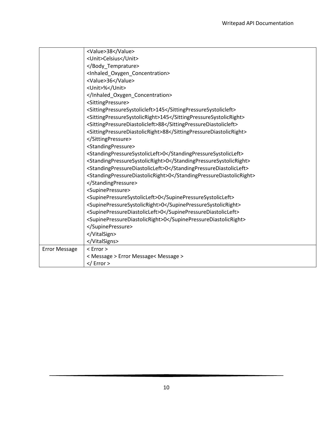|                      | <value>38</value>                                                  |
|----------------------|--------------------------------------------------------------------|
|                      | <unit>Celsius</unit>                                               |
|                      |                                                                    |
|                      | <inhaled_oxygen_concentration></inhaled_oxygen_concentration>      |
|                      | <value>36</value>                                                  |
|                      | <unit>%</unit>                                                     |
|                      |                                                                    |
|                      | <sittingpressure></sittingpressure>                                |
|                      | <sittingpressuresystolicleft>145</sittingpressuresystolicleft>     |
|                      | <sittingpressuresystolicright>145</sittingpressuresystolicright>   |
|                      | <sittingpressurediastolicleft>88</sittingpressurediastolicleft>    |
|                      | <sittingpressurediastolicright>88</sittingpressurediastolicright>  |
|                      |                                                                    |
|                      | <standingpressure></standingpressure>                              |
|                      | <standingpressuresystolicleft>0</standingpressuresystolicleft>     |
|                      | <standingpressuresystolicright>0</standingpressuresystolicright>   |
|                      | <standingpressurediastolicleft>0</standingpressurediastolicleft>   |
|                      | <standingpressurediastolicright>0</standingpressurediastolicright> |
|                      |                                                                    |
|                      | <supinepressure></supinepressure>                                  |
|                      | <supinepressuresystolicleft>0</supinepressuresystolicleft>         |
|                      | <supinepressuresystolicright>0</supinepressuresystolicright>       |
|                      | <supinepressurediastolicleft>0</supinepressurediastolicleft>       |
|                      | <supinepressurediastolicright>0</supinepressurediastolicright>     |
|                      |                                                                    |
|                      |                                                                    |
|                      |                                                                    |
| <b>Error Message</b> | $<$ Error $>$                                                      |
|                      | < Message > Error Message< Message >                               |
|                      | $\frac{2}{\sqrt{2}}$ Error >                                       |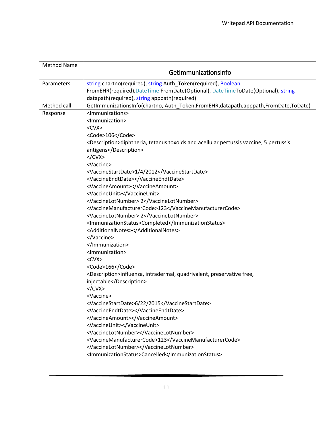<span id="page-12-0"></span>

| <b>Method Name</b> |                                                                                                     |
|--------------------|-----------------------------------------------------------------------------------------------------|
|                    | GetImmunizationsInfo                                                                                |
| Parameters         | string chartno(required), string Auth_Token(required), Boolean                                      |
|                    | FromEHR(required),DateTime FromDate(Optional), DateTimeToDate(Optional), string                     |
|                    | datapath(required), string apppath(required)                                                        |
| Method call        | GetImmunizationsInfo(chartno, Auth_Token,FromEHR,datapath,apppath,FromDate,ToDate)                  |
| Response           | <lmmunizations></lmmunizations>                                                                     |
|                    | <immunization></immunization>                                                                       |
|                    | $<$ CVX $>$                                                                                         |
|                    | <code>106</code>                                                                                    |
|                    | <description>diphtheria, tetanus toxoids and acellular pertussis vaccine, 5 pertussis</description> |
|                    | antigens                                                                                            |
|                    |                                                                                                     |
|                    | <vaccine></vaccine>                                                                                 |
|                    | <vaccinestartdate>1/4/2012</vaccinestartdate>                                                       |
|                    | <vaccineendtdate></vaccineendtdate>                                                                 |
|                    | <vaccineamount></vaccineamount>                                                                     |
|                    | <vaccineunit></vaccineunit>                                                                         |
|                    | <vaccinelotnumber> 2</vaccinelotnumber>                                                             |
|                    | <vaccinemanufacturercode>123</vaccinemanufacturercode>                                              |
|                    | <vaccinelotnumber> 2</vaccinelotnumber>                                                             |
|                    | <immunizationstatus>Completed</immunizationstatus>                                                  |
|                    | <additionalnotes></additionalnotes>                                                                 |
|                    |                                                                                                     |
|                    |                                                                                                     |
|                    | <immunization></immunization>                                                                       |
|                    | $<$ CVX $>$                                                                                         |
|                    | <code>166</code>                                                                                    |
|                    | <description>influenza, intradermal, quadrivalent, preservative free,</description>                 |
|                    | injectable                                                                                          |
|                    |                                                                                                     |
|                    | <vaccine></vaccine>                                                                                 |
|                    | <vaccinestartdate>6/22/2015</vaccinestartdate>                                                      |
|                    | <vaccineendtdate></vaccineendtdate>                                                                 |
|                    | <vaccineamount></vaccineamount>                                                                     |
|                    | <vaccineunit></vaccineunit>                                                                         |
|                    | <vaccinelotnumber></vaccinelotnumber>                                                               |
|                    | <vaccinemanufacturercode>123</vaccinemanufacturercode>                                              |
|                    | <vaccinelotnumber></vaccinelotnumber>                                                               |
|                    | <immunizationstatus>Cancelled</immunizationstatus>                                                  |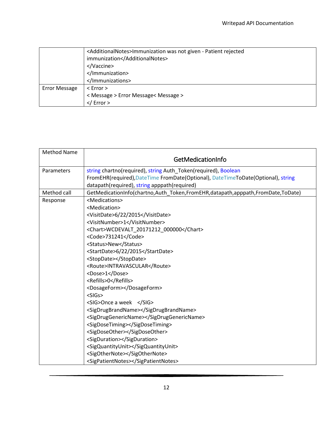|                      | <additionalnotes>Immunization was not given - Patient rejected<br/>immunization</additionalnotes><br><br><br> |
|----------------------|---------------------------------------------------------------------------------------------------------------|
| <b>Error Message</b> | $<$ Error $>$                                                                                                 |
|                      | < Message > Error Message< Message >                                                                          |
|                      | $\frac{2}{\sqrt{2}}$ Error >                                                                                  |

<span id="page-13-0"></span>

| <b>Method Name</b> |                                                                                 |
|--------------------|---------------------------------------------------------------------------------|
|                    | GetMedicationInfo                                                               |
| Parameters         | string chartno(required), string Auth_Token(required), Boolean                  |
|                    | FromEHR(required),DateTime FromDate(Optional), DateTimeToDate(Optional), string |
|                    | datapath(required), string apppath(required)                                    |
| Method call        | GetMedicationInfo(chartno,Auth_Token,FromEHR,datapath,apppath,FromDate,ToDate)  |
| Response           | <medications></medications>                                                     |
|                    | <medication></medication>                                                       |
|                    | <visitdate>6/22/2015</visitdate>                                                |
|                    | <visitnumber>1</visitnumber>                                                    |
|                    | <chart>WCDEVALT 20171212 000000</chart>                                         |
|                    | <code>731241</code>                                                             |
|                    | <status>New</status>                                                            |
|                    | <startdate>6/22/2015</startdate>                                                |
|                    | <stopdate></stopdate>                                                           |
|                    | <route>INTRAVASCULAR</route>                                                    |
|                    | <dose>1</dose>                                                                  |
|                    | <refills>0</refills>                                                            |
|                    | <dosageform></dosageform>                                                       |
|                    | $<$ SIGs>                                                                       |
|                    | <sig>Once a week </sig>                                                         |
|                    | <sigdrugbrandname></sigdrugbrandname>                                           |
|                    | <sigdruggenericname></sigdruggenericname>                                       |
|                    | <sigdosetiming></sigdosetiming>                                                 |
|                    | <sigdoseother></sigdoseother>                                                   |
|                    | <sigduration></sigduration>                                                     |
|                    | <sigquantityunit></sigquantityunit>                                             |
|                    | <sigothernote></sigothernote>                                                   |
|                    | <sigpatientnotes></sigpatientnotes>                                             |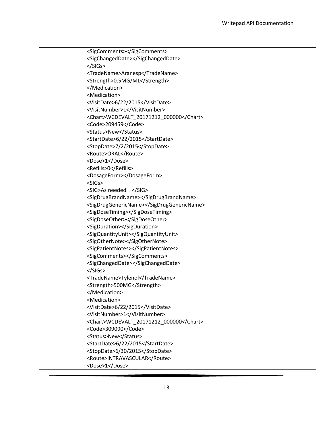| <sigcomments></sigcomments>               |
|-------------------------------------------|
| <sigchangeddate></sigchangeddate>         |
| $<$ /SIGs>                                |
| <tradename>Aranesp</tradename>            |
| <strength>0.5MG/ML</strength>             |
|                                           |
| <medication></medication>                 |
| <visitdate>6/22/2015</visitdate>          |
| <visitnumber>1</visitnumber>              |
| <chart>WCDEVALT_20171212_000000</chart>   |
| <code>209459</code>                       |
| <status>New</status>                      |
| <startdate>6/22/2015</startdate>          |
| <stopdate>7/2/2015</stopdate>             |
| <route>ORAL</route>                       |
| <dose>1</dose>                            |
| <refills>0</refills>                      |
| <dosageform></dosageform>                 |
| $<$ SIGs $>$                              |
| <sig>As needed </sig>                     |
| <sigdrugbrandname></sigdrugbrandname>     |
| <sigdruggenericname></sigdruggenericname> |
| <sigdosetiming></sigdosetiming>           |
| <sigdoseother></sigdoseother>             |
| <sigduration></sigduration>               |
| <sigquantityunit></sigquantityunit>       |
| <sigothernote></sigothernote>             |
| <sigpatientnotes></sigpatientnotes>       |
| <sigcomments></sigcomments>               |
| <sigchangeddate></sigchangeddate>         |
| $<$ /SIGs>                                |
| <tradename>Tylenol</tradename>            |
| <strength>500MG</strength>                |
|                                           |
| <medication></medication>                 |
| <visitdate>6/22/2015</visitdate>          |
| <visitnumber>1</visitnumber>              |
| <chart>WCDEVALT_20171212_000000</chart>   |
| <code>309090</code>                       |
| <status>New</status>                      |
| <startdate>6/22/2015</startdate>          |
| <stopdate>6/30/2015</stopdate>            |
| <route>INTRAVASCULAR</route>              |
| <dose>1</dose>                            |
|                                           |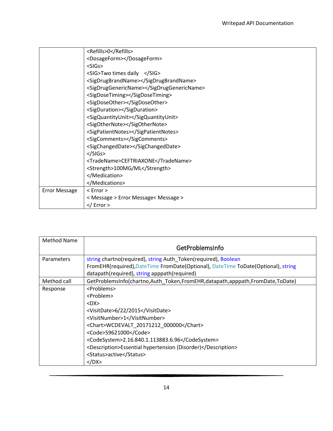|                      | <refills>0</refills>                      |
|----------------------|-------------------------------------------|
|                      | <dosageform></dosageform>                 |
|                      | $<$ SIGs $>$                              |
|                      | <sig>Two times daily </sig>               |
|                      | <sigdrugbrandname></sigdrugbrandname>     |
|                      | <sigdruggenericname></sigdruggenericname> |
|                      | <sigdosetiming></sigdosetiming>           |
|                      | <sigdoseother></sigdoseother>             |
|                      | <sigduration></sigduration>               |
|                      | <sigquantityunit></sigquantityunit>       |
|                      | <sigothernote></sigothernote>             |
|                      | <sigpatientnotes></sigpatientnotes>       |
|                      | <sigcomments></sigcomments>               |
|                      | <sigchangeddate></sigchangeddate>         |
|                      | $<$ /SIGs>                                |
|                      | <tradename>CEFTRIAXONE</tradename>        |
|                      | <strength>100MG/ML</strength>             |
|                      |                                           |
|                      |                                           |
| <b>Error Message</b> | $<$ Error $>$                             |
|                      | < Message > Error Message< Message >      |
|                      |                                           |

<span id="page-15-0"></span>

| Method Name       |                                                                                                                                                     |
|-------------------|-----------------------------------------------------------------------------------------------------------------------------------------------------|
|                   | GetProblemsInfo                                                                                                                                     |
| <b>Parameters</b> | string chartno(required), string Auth_Token(required), Boolean<br>FromEHR(required), DateTime FromDate(Optional), DateTime ToDate(Optional), string |
|                   | datapath(required), string apppath(required)                                                                                                        |
| Method call       | GetProblemsInfo(chartno,Auth_Token,FromEHR,datapath,apppath,FromDate,ToDate)                                                                        |
| Response          | <problems></problems>                                                                                                                               |
|                   | <problem></problem>                                                                                                                                 |
|                   | $<$ DX $>$                                                                                                                                          |
|                   | <visitdate>6/22/2015</visitdate>                                                                                                                    |
|                   | <visitnumber>1</visitnumber>                                                                                                                        |
|                   | <chart>WCDEVALT_20171212_000000</chart>                                                                                                             |
|                   | <code>59621000</code>                                                                                                                               |
|                   | <codesystem>2.16.840.1.113883.6.96</codesystem>                                                                                                     |
|                   | <description>Essential hypertension (Disorder)</description>                                                                                        |
|                   | <status>active</status>                                                                                                                             |
|                   |                                                                                                                                                     |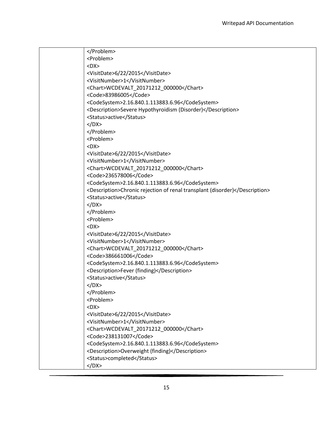| <problem></problem>                                                         |
|-----------------------------------------------------------------------------|
| $<$ DX $>$                                                                  |
| <visitdate>6/22/2015</visitdate>                                            |
| <visitnumber>1</visitnumber>                                                |
| <chart>WCDEVALT 20171212 000000</chart>                                     |
| <code>83986005</code>                                                       |
| <codesystem>2.16.840.1.113883.6.96</codesystem>                             |
| <description>Severe Hypothyroidism (Disorder)</description>                 |
| <status>active</status>                                                     |
|                                                                             |
|                                                                             |
| <problem></problem>                                                         |
| $<$ DX $>$                                                                  |
| <visitdate>6/22/2015</visitdate>                                            |
| <visitnumber>1</visitnumber>                                                |
| <chart>WCDEVALT_20171212_000000</chart>                                     |
| <code>236578006</code>                                                      |
| <codesystem>2.16.840.1.113883.6.96</codesystem>                             |
| <description>Chronic rejection of renal transplant (disorder)</description> |
| <status>active</status>                                                     |
|                                                                             |
|                                                                             |
| <problem></problem>                                                         |
| $<$ DX $>$                                                                  |
| <visitdate>6/22/2015</visitdate>                                            |
| <visitnumber>1</visitnumber>                                                |
| <chart>WCDEVALT_20171212_000000</chart>                                     |
| <code>386661006</code>                                                      |
| <codesystem>2.16.840.1.113883.6.96</codesystem>                             |
| <description>Fever (finding)</description>                                  |
| <status>active</status>                                                     |
|                                                                             |
|                                                                             |
| <problem></problem>                                                         |
| $<$ DX $>$                                                                  |
| <visitdate>6/22/2015</visitdate>                                            |
| <visitnumber>1</visitnumber>                                                |
| <chart>WCDEVALT 20171212 000000</chart>                                     |
| <code>238131007</code>                                                      |
| <codesystem>2.16.840.1.113883.6.96</codesystem>                             |
| <description>Overweight (finding)</description>                             |
| <status>completed</status>                                                  |
|                                                                             |
|                                                                             |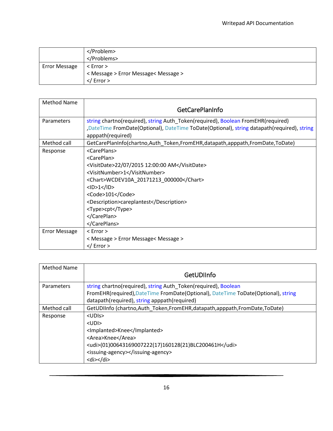|                      | <br>                                                      |
|----------------------|-----------------------------------------------------------|
| <b>Error Message</b> | $<$ Error $>$                                             |
|                      | < Message > Error Message< Message ><br>$\langle$ Error > |

<span id="page-17-0"></span>

| <b>Method Name</b>   |                                                                                                                |
|----------------------|----------------------------------------------------------------------------------------------------------------|
|                      | <b>GetCarePlanInfo</b>                                                                                         |
| Parameters           | string chartno(required), string Auth_Token(required), Boolean FromEHR(required)                               |
|                      | DateTime FromDate(Optional), DateTime ToDate(Optional), string datapath(required), string<br>apppath(required) |
| Method call          | GetCarePlanInfo(chartno, Auth Token, FromEHR, datapath, apppath, FromDate, ToDate)                             |
| Response             | <careplans></careplans>                                                                                        |
|                      | <careplan></careplan>                                                                                          |
|                      | <visitdate>22/07/2015 12:00:00 AM</visitdate>                                                                  |
|                      | <visitnumber>1</visitnumber>                                                                                   |
|                      | <chart>WCDEV10A_20171213_000000</chart>                                                                        |
|                      | $<$ ID>1 $<$ /ID>                                                                                              |
|                      | <code>101</code>                                                                                               |
|                      | <description>careplantest</description>                                                                        |
|                      | <type>cpt</type>                                                                                               |
|                      |                                                                                                                |
|                      |                                                                                                                |
| <b>Error Message</b> | $<$ Error $>$                                                                                                  |
|                      | < Message > Error Message< Message >                                                                           |
|                      | $<$ / Error >                                                                                                  |

<span id="page-17-1"></span>

| Method Name |                                                                                   |
|-------------|-----------------------------------------------------------------------------------|
|             | GetUDlInfo                                                                        |
| Parameters  | string chartno(required), string Auth_Token(required), Boolean                    |
|             | FromEHR(required), DateTime FromDate(Optional), DateTime ToDate(Optional), string |
|             | datapath(required), string apppath(required)                                      |
| Method call | GetUDIInfo (chartno, Auth Token, From EHR, datapath, apppath, From Date, ToDate)  |
| Response    | $<$ UDIs $>$                                                                      |
|             | $<$ UDI $>$                                                                       |
|             | <lmplanted>Knee</lmplanted>                                                       |
|             | <area/> Knee                                                                      |
|             | <udi>(01)00643169007222(17)160128(21)BLC200461H</udi>                             |
|             | <issuing-agency></issuing-agency>                                                 |
|             | $<$ di $>$ $<$ /di $>$                                                            |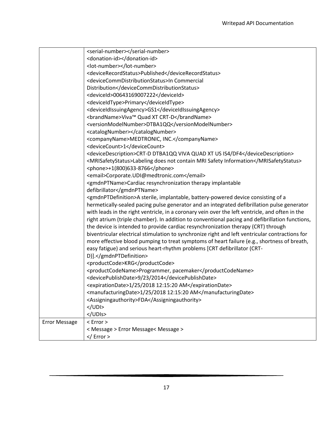|                      | <serial-number></serial-number>                                                                     |
|----------------------|-----------------------------------------------------------------------------------------------------|
|                      | <donation-id></donation-id>                                                                         |
|                      | <lot-number></lot-number>                                                                           |
|                      | <devicerecordstatus>Published</devicerecordstatus>                                                  |
|                      | <devicecommdistributionstatus>In Commercial</devicecommdistributionstatus>                          |
|                      | Distribution                                                                                        |
|                      | <deviceid>00643169007222</deviceid>                                                                 |
|                      | <deviceidtype>Primary</deviceidtype>                                                                |
|                      | <deviceidissuingagency>GS1</deviceidissuingagency>                                                  |
|                      | <brandname>Viva™ Quad XT CRT-D</brandname>                                                          |
|                      | <versionmodelnumber>DTBA1QQ</versionmodelnumber>                                                    |
|                      | <catalognumber></catalognumber>                                                                     |
|                      | <companyname>MEDTRONIC, INC.</companyname>                                                          |
|                      | <devicecount>1</devicecount>                                                                        |
|                      | <devicedescription>CRT-D DTBA1QQ VIVA QUAD XT US IS4/DF4</devicedescription>                        |
|                      | <mrisafetystatus>Labeling does not contain MRI Safety Information</mrisafetystatus>                 |
|                      | <phone>+1(800)633-8766</phone>                                                                      |
|                      | <email>Corporate.UDI@medtronic.com</email>                                                          |
|                      | <gmdnptname>Cardiac resynchronization therapy implantable</gmdnptname>                              |
|                      | defibrillator                                                                                       |
|                      | <gmdnptdefinition>A sterile, implantable, battery-powered device consisting of a</gmdnptdefinition> |
|                      | hermetically-sealed pacing pulse generator and an integrated defibrillation pulse generator         |
|                      | with leads in the right ventricle, in a coronary vein over the left ventricle, and often in the     |
|                      | right atrium (triple chamber). In addition to conventional pacing and defibrillation functions,     |
|                      | the device is intended to provide cardiac resynchronization therapy (CRT) through                   |
|                      | biventricular electrical stimulation to synchronize right and left ventricular contractions for     |
|                      | more effective blood pumping to treat symptoms of heart failure (e.g., shortness of breath,         |
|                      | easy fatigue) and serious heart-rhythm problems [CRT defibrillator (CRT-                            |
|                      | D)].                                                                                                |
|                      | <productcode>KRG</productcode>                                                                      |
|                      | <productcodename>Programmer, pacemaker</productcodename>                                            |
|                      | <devicepublishdate>9/23/2014</devicepublishdate>                                                    |
|                      | <expirationdate>1/25/2018 12:15:20 AM</expirationdate>                                              |
|                      | <manufacturingdate>1/25/2018 12:15:20 AM</manufacturingdate>                                        |
|                      | <assigningauthority>FDA</assigningauthority>                                                        |
|                      | $<$ /UDI>                                                                                           |
|                      |                                                                                                     |
| <b>Error Message</b> | $<$ Error $>$                                                                                       |
|                      | < Message > Error Message< Message >                                                                |
|                      |                                                                                                     |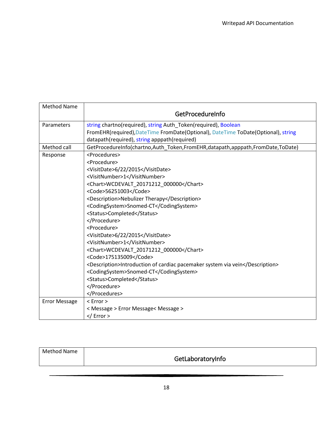<span id="page-19-0"></span>

| <b>Method Name</b>   | GetProcedureInfo                                                                  |
|----------------------|-----------------------------------------------------------------------------------|
| Parameters           | string chartno(required), string Auth_Token(required), Boolean                    |
|                      | FromEHR(required), DateTime FromDate(Optional), DateTime ToDate(Optional), string |
|                      | datapath(required), string apppath(required)                                      |
| Method call          | GetProcedureInfo(chartno,Auth_Token,FromEHR,datapath,apppath,FromDate,ToDate)     |
| Response             | <procedures></procedures>                                                         |
|                      | <procedure></procedure>                                                           |
|                      | <visitdate>6/22/2015</visitdate>                                                  |
|                      | <visitnumber>1</visitnumber>                                                      |
|                      | <chart>WCDEVALT 20171212 000000</chart>                                           |
|                      | <code>56251003</code>                                                             |
|                      | <description>Nebulizer Therapy</description>                                      |
|                      | <codingsystem>Snomed-CT</codingsystem>                                            |
|                      | <status>Completed</status>                                                        |
|                      |                                                                                   |
|                      | <procedure></procedure>                                                           |
|                      | <visitdate>6/22/2015</visitdate>                                                  |
|                      | <visitnumber>1</visitnumber>                                                      |
|                      | <chart>WCDEVALT_20171212_000000</chart>                                           |
|                      | <code>175135009</code>                                                            |
|                      | <description>Introduction of cardiac pacemaker system via vein</description>      |
|                      | <codingsystem>Snomed-CT</codingsystem>                                            |
|                      | <status>Completed</status>                                                        |
|                      |                                                                                   |
|                      |                                                                                   |
| <b>Error Message</b> | $<$ Error $>$                                                                     |
|                      | < Message > Error Message< Message >                                              |
|                      | $\frac{2}{\sqrt{2}}$ Error >                                                      |

<span id="page-19-1"></span>

| Method Name | GetLaboratoryInfo |
|-------------|-------------------|
|             |                   |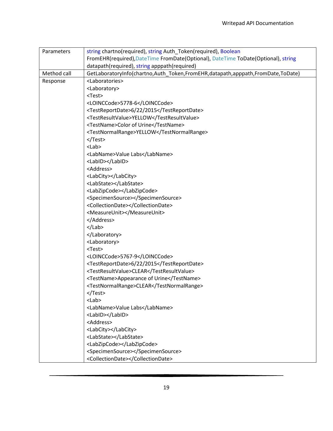| Parameters  | string chartno(required), string Auth_Token(required), Boolean                    |
|-------------|-----------------------------------------------------------------------------------|
|             | FromEHR(required), DateTime FromDate(Optional), DateTime ToDate(Optional), string |
|             | datapath(required), string apppath(required)                                      |
| Method call | GetLaboratoryInfo(chartno,Auth_Token,FromEHR,datapath,apppath,FromDate,ToDate)    |
| Response    | <laboratories></laboratories>                                                     |
|             | <laboratory></laboratory>                                                         |
|             | <test></test>                                                                     |
|             | <loinccode>5778-6</loinccode>                                                     |
|             | <testreportdate>6/22/2015</testreportdate>                                        |
|             | <testresultvalue>YELLOW</testresultvalue>                                         |
|             | <testname>Color of Urine</testname>                                               |
|             | <testnormalrange>YELLOW</testnormalrange>                                         |
|             |                                                                                   |
|             | $<$ Lab $>$                                                                       |
|             | <labname>Value Labs</labname>                                                     |
|             | <labid></labid>                                                                   |
|             | <address></address>                                                               |
|             | <labcity></labcity>                                                               |
|             | <labstate></labstate>                                                             |
|             | <labzipcode></labzipcode>                                                         |
|             | <specimensource></specimensource>                                                 |
|             | <collectiondate></collectiondate>                                                 |
|             | <measureunit></measureunit>                                                       |
|             |                                                                                   |
|             | $<$ /Lab>                                                                         |
|             |                                                                                   |
|             | <laboratory></laboratory>                                                         |
|             | <test></test>                                                                     |
|             | <loinccode>5767-9</loinccode>                                                     |
|             | <testreportdate>6/22/2015</testreportdate>                                        |
|             | <testresultvalue>CLEAR</testresultvalue>                                          |
|             | <testname>Appearance of Urine</testname>                                          |
|             | <testnormalrange>CLEAR</testnormalrange>                                          |
|             |                                                                                   |
|             | $<$ Lab $>$                                                                       |
|             | <labname>Value Labs</labname>                                                     |
|             | <labid></labid>                                                                   |
|             | <address></address>                                                               |
|             | <labcity></labcity>                                                               |
|             | <labstate></labstate>                                                             |
|             | <labzipcode></labzipcode>                                                         |
|             | <specimensource></specimensource>                                                 |
|             | <collectiondate></collectiondate>                                                 |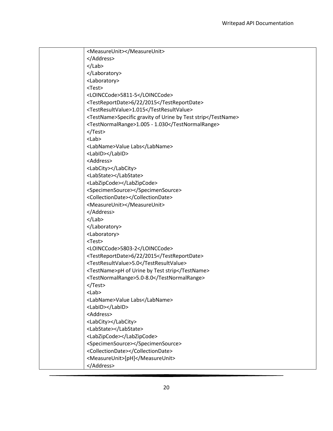| <measureunit></measureunit>                                  |
|--------------------------------------------------------------|
|                                                              |
| $<$ /Lab>                                                    |
|                                                              |
| <laboratory></laboratory>                                    |
| $<$ Test $>$                                                 |
| <loinccode>5811-5</loinccode>                                |
| <testreportdate>6/22/2015</testreportdate>                   |
| <testresultvalue>1.015</testresultvalue>                     |
| <testname>Specific gravity of Urine by Test strip</testname> |
| <testnormalrange>1.005 - 1.030</testnormalrange>             |
|                                                              |
| $<$ Lab $>$                                                  |
| <labname>Value Labs</labname>                                |
| <labid></labid>                                              |
| <address></address>                                          |
| <labcity></labcity>                                          |
| <labstate></labstate>                                        |
| <labzipcode></labzipcode>                                    |
| <specimensource></specimensource>                            |
| <collectiondate></collectiondate>                            |
| <measureunit></measureunit>                                  |
|                                                              |
| $<$ /Lab>                                                    |
|                                                              |
| <laboratory></laboratory>                                    |
| <test></test>                                                |
| <loinccode>5803-2</loinccode>                                |
| <testreportdate>6/22/2015</testreportdate>                   |
| <testresultvalue>5.0</testresultvalue>                       |
| <testname>pH of Urine by Test strip</testname>               |
| <testnormalrange>5.0-8.0</testnormalrange>                   |
|                                                              |
| <lab></lab>                                                  |
| <labname>Value Labs</labname>                                |
| <labid></labid>                                              |
| <address></address>                                          |
| <labcity></labcity>                                          |
| <labstate></labstate>                                        |
| <labzipcode></labzipcode>                                    |
| <specimensource></specimensource>                            |
| <collectiondate></collectiondate>                            |
| <measureunit>[pH]</measureunit>                              |
|                                                              |
|                                                              |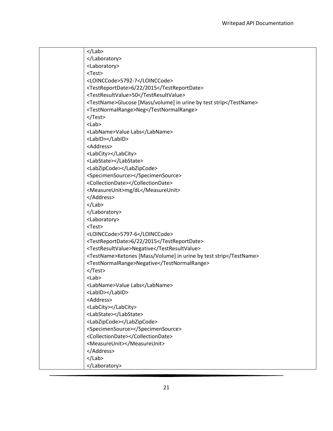| $<$ /Lab>                                                         |
|-------------------------------------------------------------------|
|                                                                   |
| <laboratory></laboratory>                                         |
| <test></test>                                                     |
| <loinccode>5792-7</loinccode>                                     |
| <testreportdate>6/22/2015</testreportdate>                        |
| <testresultvalue>50</testresultvalue>                             |
| <testname>Glucose [Mass/volume] in urine by test strip</testname> |
| <testnormalrange>Neg</testnormalrange>                            |
|                                                                   |
| $<$ Lab $>$                                                       |
| <labname>Value Labs</labname>                                     |
| <labid></labid>                                                   |
| <address></address>                                               |
| <labcity></labcity>                                               |
| <labstate></labstate>                                             |
| <labzipcode></labzipcode>                                         |
| <specimensource></specimensource>                                 |
| <collectiondate></collectiondate>                                 |
| <measureunit>mg/dL</measureunit>                                  |
|                                                                   |
| $<$ /Lab>                                                         |
|                                                                   |
| <laboratory></laboratory>                                         |
| <test></test>                                                     |
| <loinccode>5797-6</loinccode>                                     |
| <testreportdate>6/22/2015</testreportdate>                        |
| <testresultvalue>Negative</testresultvalue>                       |
| <testname>Ketones [Mass/Volume] in urine by test strip</testname> |
| <testnormalrange>Negative</testnormalrange>                       |
|                                                                   |
| $<$ Lab $>$                                                       |
| <labname>Value Labs</labname>                                     |
| <labid></labid>                                                   |
| <address></address>                                               |
| <labcity></labcity>                                               |
| <labstate></labstate>                                             |
| <labzipcode></labzipcode>                                         |
| <specimensource></specimensource>                                 |
| <collectiondate></collectiondate>                                 |
| <measureunit></measureunit>                                       |
|                                                                   |
| $<$ /Lab>                                                         |
|                                                                   |
|                                                                   |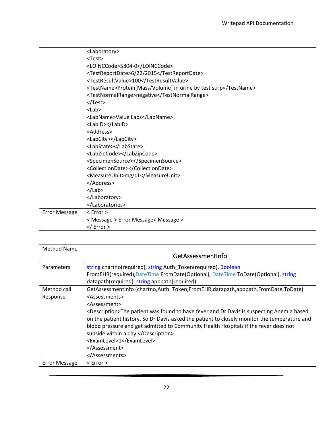|                      | <laboratory></laboratory>                                        |
|----------------------|------------------------------------------------------------------|
|                      | $<$ Test $>$                                                     |
|                      | <loinccode>5804-0</loinccode>                                    |
|                      | <testreportdate>6/22/2015</testreportdate>                       |
|                      | <testresultvalue>100</testresultvalue>                           |
|                      | <testname>Protein[Mass/Volume] in urine by test strip</testname> |
|                      | <testnormalrange>negative</testnormalrange>                      |
|                      |                                                                  |
|                      | $<$ Lab $>$                                                      |
|                      | <labname>Value Labs</labname>                                    |
|                      | <labid></labid>                                                  |
|                      | <address></address>                                              |
|                      | <labcity></labcity>                                              |
|                      | <labstate></labstate>                                            |
|                      | <labzipcode></labzipcode>                                        |
|                      | <specimensource></specimensource>                                |
|                      | <collectiondate></collectiondate>                                |
|                      | <measureunit>mg/dL</measureunit>                                 |
|                      |                                                                  |
|                      | $<$ /Lab>                                                        |
|                      |                                                                  |
|                      |                                                                  |
| <b>Error Message</b> | $<$ Error $>$                                                    |
|                      | < Message > Error Message< Message >                             |
|                      | $<$ / Error >                                                    |

<span id="page-23-0"></span>

| <b>Method Name</b>   |                                                                                                        |
|----------------------|--------------------------------------------------------------------------------------------------------|
|                      | GetAssessmentInfo                                                                                      |
| Parameters           | string chartno(required), string Auth_Token(required), Boolean                                         |
|                      | FromEHR(required), DateTime FromDate(Optional), DateTime ToDate(Optional), string                      |
|                      | datapath(required), string apppath(required)                                                           |
| Method call          | GetAssessmentInfo (chartno, Auth Token, FromEHR, datapath, apppath, FromDate, ToDate)                  |
| Response             | <assessments></assessments>                                                                            |
|                      | <assessment></assessment>                                                                              |
|                      | <description>The patient was found to have fever and Dr Davis is suspecting Anemia based</description> |
|                      | on the patient history. So Dr Davis asked the patient to closely monitor the temperature and           |
|                      | blood pressure and get admitted to Community Health Hospitals if the fever does not                    |
|                      | subside within a day.                                                                                  |
|                      | <examlevel>1</examlevel>                                                                               |
|                      |                                                                                                        |
|                      |                                                                                                        |
| <b>Error Message</b> | $<$ Error $>$                                                                                          |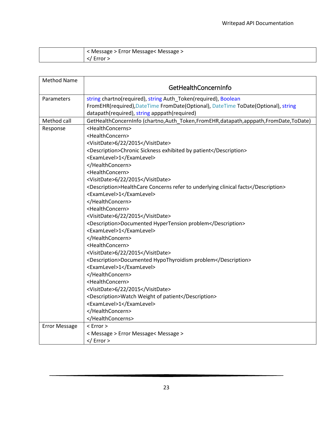| < Message > Error Message< Message > |
|--------------------------------------|
| Error >                              |

<span id="page-24-0"></span>

| <b>Method Name</b>   |                                                                                    |
|----------------------|------------------------------------------------------------------------------------|
|                      | GetHealthConcernInfo                                                               |
| Parameters           | string chartno(required), string Auth_Token(required), Boolean                     |
|                      | FromEHR(required), DateTime FromDate(Optional), DateTime ToDate(Optional), string  |
|                      | datapath(required), string apppath(required)                                       |
| Method call          | GetHealthConcernInfo (chartno,Auth Token,FromEHR,datapath,apppath,FromDate,ToDate) |
| Response             | <healthconcerns></healthconcerns>                                                  |
|                      | <healthconcern></healthconcern>                                                    |
|                      | <visitdate>6/22/2015</visitdate>                                                   |
|                      | <description>Chronic Sickness exhibited by patient</description>                   |
|                      | <examlevel>1</examlevel>                                                           |
|                      |                                                                                    |
|                      | <healthconcern></healthconcern>                                                    |
|                      | <visitdate>6/22/2015</visitdate>                                                   |
|                      | <description>HealthCare Concerns refer to underlying clinical facts</description>  |
|                      | <examlevel>1</examlevel>                                                           |
|                      |                                                                                    |
|                      | <healthconcern></healthconcern>                                                    |
|                      | <visitdate>6/22/2015</visitdate>                                                   |
|                      | <description>Documented HyperTension problem</description>                         |
|                      | <examlevel>1</examlevel>                                                           |
|                      |                                                                                    |
|                      | <healthconcern></healthconcern>                                                    |
|                      | <visitdate>6/22/2015</visitdate>                                                   |
|                      | <description>Documented HypoThyroidism problem</description>                       |
|                      | <examlevel>1</examlevel>                                                           |
|                      |                                                                                    |
|                      | <healthconcern></healthconcern>                                                    |
|                      | <visitdate>6/22/2015</visitdate>                                                   |
|                      | <description>Watch Weight of patient</description>                                 |
|                      | <examlevel>1</examlevel>                                                           |
|                      |                                                                                    |
|                      |                                                                                    |
| <b>Error Message</b> | $<$ Error $>$                                                                      |
|                      | < Message > Error Message< Message >                                               |
|                      | $<$ / Error >                                                                      |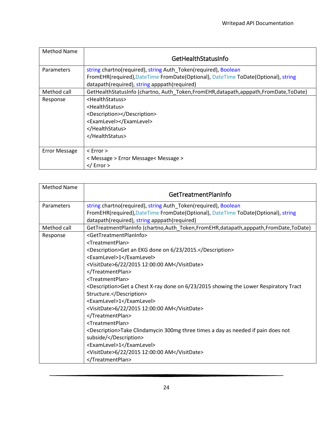<span id="page-25-0"></span>

| Method Name          |                                                                                    |
|----------------------|------------------------------------------------------------------------------------|
|                      | GetHealthStatusInfo                                                                |
| <b>Parameters</b>    | string chartno(required), string Auth_Token(required), Boolean                     |
|                      | FromEHR(required), DateTime FromDate(Optional), DateTime ToDate(Optional), string  |
|                      | datapath(required), string apppath(required)                                       |
| Method call          | GetHealthStatusInfo (chartno, Auth_Token,FromEHR,datapath,apppath,FromDate,ToDate) |
| Response             | <healthstatuss></healthstatuss>                                                    |
|                      | <healthstatus></healthstatus>                                                      |
|                      | <description></description>                                                        |
|                      | <examlevel></examlevel>                                                            |
|                      |                                                                                    |
|                      |                                                                                    |
|                      |                                                                                    |
| <b>Error Message</b> | $<$ Error $>$                                                                      |
|                      | < Message > Error Message< Message >                                               |
|                      | $\langle$ Error $>$                                                                |

<span id="page-25-1"></span>

| <b>Method Name</b> |                                                                                                    |
|--------------------|----------------------------------------------------------------------------------------------------|
|                    | GetTreatmentPlanInfo                                                                               |
| Parameters         | string chartno(required), string Auth_Token(required), Boolean                                     |
|                    | FromEHR(required), DateTime FromDate(Optional), DateTime ToDate(Optional), string                  |
|                    | datapath(required), string apppath(required)                                                       |
| Method call        | GetTreatmentPlanInfo (chartno,Auth_Token,FromEHR,datapath,apppath,FromDate,ToDate)                 |
| Response           | <gettreatmentplaninfo></gettreatmentplaninfo>                                                      |
|                    | <treatmentplan></treatmentplan>                                                                    |
|                    | <description>Get an EKG done on 6/23/2015.</description>                                           |
|                    | <examlevel>1</examlevel>                                                                           |
|                    | <visitdate>6/22/2015 12:00:00 AM</visitdate>                                                       |
|                    |                                                                                                    |
|                    | <treatmentplan></treatmentplan>                                                                    |
|                    | <description>Get a Chest X-ray done on 6/23/2015 showing the Lower Respiratory Tract</description> |
|                    | Structure.                                                                                         |
|                    | <examlevel>1</examlevel>                                                                           |
|                    | <visitdate>6/22/2015 12:00:00 AM</visitdate>                                                       |
|                    |                                                                                                    |
|                    | <treatmentplan></treatmentplan>                                                                    |
|                    | <description>Take Clindamycin 300mg three times a day as needed if pain does not</description>     |
|                    | subside/                                                                                           |
|                    | <examlevel>1</examlevel>                                                                           |
|                    | <visitdate>6/22/2015 12:00:00 AM</visitdate>                                                       |
|                    |                                                                                                    |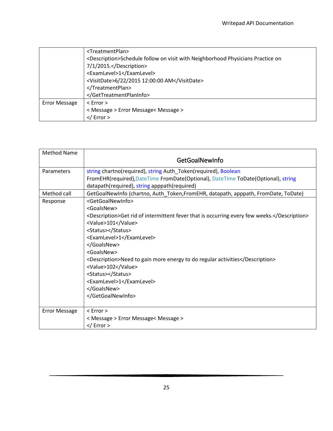|                      | <treatmentplan></treatmentplan>                                                              |
|----------------------|----------------------------------------------------------------------------------------------|
|                      | <description>Schedule follow on visit with Neighborhood Physicians Practice on</description> |
|                      | 7/1/2015.                                                                                    |
|                      | <examlevel>1</examlevel>                                                                     |
|                      | <visitdate>6/22/2015 12:00:00 AM</visitdate>                                                 |
|                      |                                                                                              |
|                      |                                                                                              |
| <b>Error Message</b> | $\leq$ Error $>$                                                                             |
|                      | < Message > Error Message< Message >                                                         |
|                      | $\frac{2}{\sqrt{2}}$ Error >                                                                 |

<span id="page-26-0"></span>

| <b>Method Name</b>   | GetGoalNewInfo                                                                                                                                                                                                                                                                                                                                                                                                                            |
|----------------------|-------------------------------------------------------------------------------------------------------------------------------------------------------------------------------------------------------------------------------------------------------------------------------------------------------------------------------------------------------------------------------------------------------------------------------------------|
| <b>Parameters</b>    | string chartno(required), string Auth_Token(required), Boolean<br>FromEHR(required), DateTime FromDate(Optional), DateTime ToDate(Optional), string<br>datapath(required), string apppath(required)                                                                                                                                                                                                                                       |
| Method call          | GetGoalNewInfo (chartno, Auth_Token, FromEHR, datapath, apppath, FromDate, ToDate)                                                                                                                                                                                                                                                                                                                                                        |
| Response             | <getgoalnewinfo><br/><goalsnew><br/><description>Get rid of intermittent fever that is occurring every few weeks.</description><br/><value>101</value><br/><status></status><br/><examlevel>1</examlevel><br/></goalsnew><br/><goalsnew><br/><description>Need to gain more energy to do regular activities</description><br/><value>102</value><br/><status></status><br/><examlevel>1</examlevel><br/></goalsnew><br/></getgoalnewinfo> |
| <b>Error Message</b> | $<$ Error $>$                                                                                                                                                                                                                                                                                                                                                                                                                             |
|                      | < Message > Error Message< Message >                                                                                                                                                                                                                                                                                                                                                                                                      |
|                      |                                                                                                                                                                                                                                                                                                                                                                                                                                           |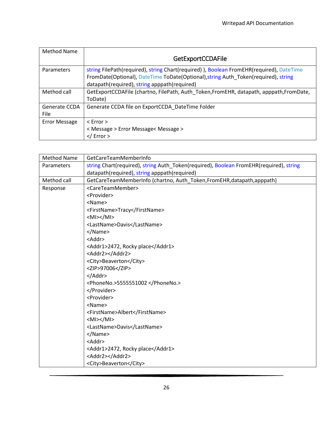<span id="page-27-0"></span>

| Method Name                  |                                                                                                                                                                                                                               |
|------------------------------|-------------------------------------------------------------------------------------------------------------------------------------------------------------------------------------------------------------------------------|
|                              | <b>GetExportCCDAFile</b>                                                                                                                                                                                                      |
| Parameters                   | string FilePath(required), string Chart(required)), Boolean FromEHR(required), DateTime<br>FromDate(Optional), DateTime ToDate(Optional), string Auth_Token(required), string<br>datapath(required), string apppath(required) |
| Method call                  | GetExportCCDAFile (chartno, FilePath, Auth_Token,FromEHR, datapath, apppath,FromDate,<br>ToDate)                                                                                                                              |
| Generate CCDA<br><b>File</b> | Generate CCDA file on ExportCCDA DateTime Folder                                                                                                                                                                              |
| <b>Error Message</b>         | $<$ Error $>$                                                                                                                                                                                                                 |
|                              | < Message > Error Message< Message >                                                                                                                                                                                          |
|                              | $\frac{2}{\sqrt{2}}$ Error >                                                                                                                                                                                                  |

| <b>Method Name</b> | GetCareTeamMemberInfo                                                                  |
|--------------------|----------------------------------------------------------------------------------------|
| Parameters         | string Chart(required), string Auth_Token(required), Boolean FromEHR(required), string |
|                    | datapath(required), string apppath(required)                                           |
| Method call        | GetCareTeamMemberInfo (chartno, Auth Token, FromEHR, datapath, apppath)                |
| Response           | <careteammember></careteammember>                                                      |
|                    | <provider></provider>                                                                  |
|                    | <name></name>                                                                          |
|                    | <firstname>Tracy</firstname>                                                           |
|                    | $ M >$ /MI>                                                                            |
|                    | <lastname>Davis</lastname>                                                             |
|                    |                                                                                        |
|                    | <addr></addr>                                                                          |
|                    | <addr1>2472, Rocky place</addr1>                                                       |
|                    | <addr2></addr2>                                                                        |
|                    | <city>Beaverton</city>                                                                 |
|                    | <zip>97006</zip>                                                                       |
|                    | $<$ /Addr>                                                                             |
|                    | <phoneno.>5555551002</phoneno.>                                                        |
|                    |                                                                                        |
|                    | <provider></provider>                                                                  |
|                    | <name></name>                                                                          |
|                    | <firstname>Albert</firstname>                                                          |
|                    | $ M >$ /MI>                                                                            |
|                    | <lastname>Davis</lastname>                                                             |
|                    |                                                                                        |
|                    | <addr></addr>                                                                          |
|                    | <addr1>2472, Rocky place</addr1>                                                       |
|                    | <addr2></addr2>                                                                        |
|                    | <city>Beaverton</city>                                                                 |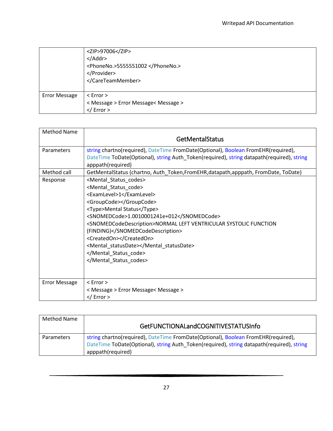|                      | <zip>97006</zip><br>$<$ /Addr><br><phoneno.>5555551002</phoneno.><br><br>                |
|----------------------|------------------------------------------------------------------------------------------|
| <b>Error Message</b> | $\leq$ Error $>$<br>< Message > Error Message< Message ><br>$\frac{2}{\sqrt{2}}$ Error > |

<span id="page-28-0"></span>

| <b>Method Name</b>   | <b>GetMentalStatus</b>                                                                                                                                                                                                                                                                                                                                                                                                        |
|----------------------|-------------------------------------------------------------------------------------------------------------------------------------------------------------------------------------------------------------------------------------------------------------------------------------------------------------------------------------------------------------------------------------------------------------------------------|
| Parameters           | string chartno(required), DateTime FromDate(Optional), Boolean FromEHR(required),<br>DateTime ToDate(Optional), string Auth_Token(required), string datapath(required), string<br>apppath(required)                                                                                                                                                                                                                           |
| Method call          | GetMentalStatus (chartno, Auth_Token,FromEHR,datapath,apppath, FromDate, ToDate)                                                                                                                                                                                                                                                                                                                                              |
| Response             | <mental_status_codes><br/><mental_status_code><br/><examlevel>1</examlevel><br/><groupcode></groupcode><br/><type>Mental Status</type><br/><snomedcode>1.0010001241e+012</snomedcode><br/><snomedcodedescription>NORMAL LEFT VENTRICULAR SYSTOLIC FUNCTION<br/>(FINDING)</snomedcodedescription><br/><createdon></createdon><br/><mental_statusdate></mental_statusdate><br/></mental_status_code><br/></mental_status_codes> |
| <b>Error Message</b> | $<$ Error $>$<br>< Message > Error Message< Message ><br>$<$ / Error >                                                                                                                                                                                                                                                                                                                                                        |

<span id="page-28-1"></span>

| Method Name       | GetFUNCTIONALandCOGNITIVESTATUSInfo                                                                                                                                                                 |
|-------------------|-----------------------------------------------------------------------------------------------------------------------------------------------------------------------------------------------------|
| <b>Parameters</b> | string chartno(required), DateTime FromDate(Optional), Boolean FromEHR(required),<br>DateTime ToDate(Optional), string Auth Token(required), string datapath(required), string<br>apppath(required) |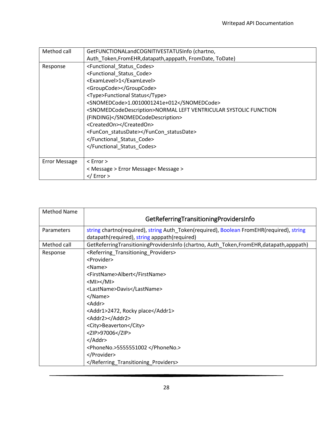| Method call          | GetFUNCTIONALandCOGNITIVESTATUSInfo (chartno,                                            |
|----------------------|------------------------------------------------------------------------------------------|
|                      | Auth_Token,FromEHR,datapath,apppath, FromDate, ToDate)                                   |
| Response             | <functional_status_codes></functional_status_codes>                                      |
|                      | <functional code="" status=""></functional>                                              |
|                      | <examlevel>1</examlevel>                                                                 |
|                      | <groupcode></groupcode>                                                                  |
|                      | <type>Functional Status</type>                                                           |
|                      | <snomedcode>1.0010001241e+012</snomedcode>                                               |
|                      | <snomedcodedescription>NORMAL LEFT VENTRICULAR SYSTOLIC FUNCTION</snomedcodedescription> |
|                      | (FINDING)                                                                                |
|                      | <createdon></createdon>                                                                  |
|                      | <funcon statusdate=""></funcon>                                                          |
|                      |                                                                                          |
|                      |                                                                                          |
|                      |                                                                                          |
| <b>Error Message</b> | $<$ Error $>$                                                                            |
|                      | < Message > Error Message< Message >                                                     |
|                      | $\frac{2}{\sqrt{2}}$ Error >                                                             |

<span id="page-29-0"></span>

| <b>Method Name</b> |                                                                                          |
|--------------------|------------------------------------------------------------------------------------------|
|                    | GetReferringTransitioningProvidersInfo                                                   |
| Parameters         | string chartno(required), string Auth_Token(required), Boolean FromEHR(required), string |
|                    | datapath(required), string apppath(required)                                             |
| Method call        | GetReferringTransitioningProvidersInfo (chartno, Auth_Token,FromEHR,datapath,apppath)    |
| Response           | <referring_transitioning_providers></referring_transitioning_providers>                  |
|                    | <provider></provider>                                                                    |
|                    | <name></name>                                                                            |
|                    | <firstname>Albert</firstname>                                                            |
|                    | $ M >$ /MI>                                                                              |
|                    | <lastname>Davis</lastname>                                                               |
|                    |                                                                                          |
|                    | $<$ Addr $>$                                                                             |
|                    | <addr1>2472, Rocky place</addr1>                                                         |
|                    | <addr2></addr2>                                                                          |
|                    | <city>Beaverton</city>                                                                   |
|                    | <zip>97006</zip>                                                                         |
|                    | $<$ /Addr>                                                                               |
|                    | <phoneno.>5555551002 </phoneno.>                                                         |
|                    |                                                                                          |
|                    |                                                                                          |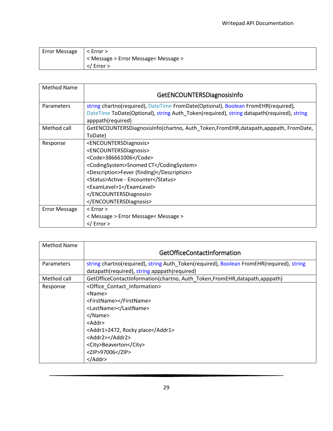| Error Message $ $ < Error > |                                      |
|-----------------------------|--------------------------------------|
|                             | < Message > Error Message< Message > |
|                             | $\langle$ Error $>$                  |

<span id="page-30-0"></span>

| <b>Method Name</b>   |                                                                                           |
|----------------------|-------------------------------------------------------------------------------------------|
|                      | GetENCOUNTERSDiagnosisInfo                                                                |
| <b>Parameters</b>    | string chartno(required), DateTime FromDate(Optional), Boolean FromEHR(required),         |
|                      | DateTime ToDate(Optional), string Auth Token(required), string datapath(required), string |
|                      | apppath(required)                                                                         |
| Method call          | GetENCOUNTERSDiagnosisInfo(chartno, Auth_Token,FromEHR,datapath,apppath, FromDate,        |
|                      | ToDate)                                                                                   |
| Response             | <encountersdiagnosis></encountersdiagnosis>                                               |
|                      | <encountersdiagnosis></encountersdiagnosis>                                               |
|                      | <code>386661006</code>                                                                    |
|                      | <codingsystem>Snomed CT</codingsystem>                                                    |
|                      | <description>Fever (finding)</description>                                                |
|                      | <status>Active - Encounter</status>                                                       |
|                      | <examlevel>1</examlevel>                                                                  |
|                      |                                                                                           |
|                      |                                                                                           |
| <b>Error Message</b> | $<$ Error $>$                                                                             |
|                      | < Message > Error Message< Message >                                                      |
|                      | $\frac{2}{\sqrt{2}}$ Error >                                                              |

<span id="page-30-1"></span>

| <b>Method Name</b> |                                                                                          |
|--------------------|------------------------------------------------------------------------------------------|
|                    | GetOfficeContactInformation                                                              |
| Parameters         | string chartno(required), string Auth_Token(required), Boolean FromEHR(required), string |
|                    | datapath(required), string apppath(required)                                             |
| Method call        | GetOfficeContactInformation(chartno, Auth Token, FromEHR, datapath, apppath)             |
| Response           | <office contact="" information=""></office>                                              |
|                    | <name></name>                                                                            |
|                    | <firstname></firstname>                                                                  |
|                    | <lastname></lastname>                                                                    |
|                    |                                                                                          |
|                    | $<$ Addr $>$                                                                             |
|                    | <addr1>2472, Rocky place</addr1>                                                         |
|                    | <addr2></addr2>                                                                          |
|                    | <city>Beaverton</city>                                                                   |
|                    | <zip>97006</zip>                                                                         |
|                    | $<$ /Addr>                                                                               |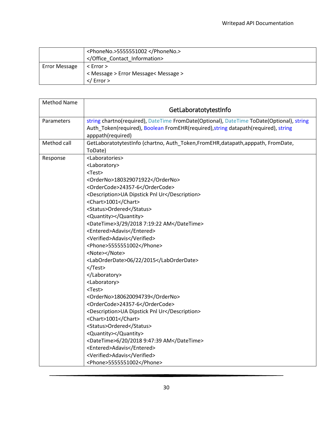|                      | <phoneno.>5555551002</phoneno.><br>                                           |
|----------------------|-------------------------------------------------------------------------------|
| <b>Error Message</b> | $\leq$ Error $>$<br>< Message > Error Message< Message ><br>$\langle$ Error > |
|                      |                                                                               |

<span id="page-31-0"></span>

| <b>Method Name</b> |                                                                                                                                                                                                                                                                                                                                                                                                                                                                                                                                                                                                                                                                                                                                                                                                                                                                                                           |
|--------------------|-----------------------------------------------------------------------------------------------------------------------------------------------------------------------------------------------------------------------------------------------------------------------------------------------------------------------------------------------------------------------------------------------------------------------------------------------------------------------------------------------------------------------------------------------------------------------------------------------------------------------------------------------------------------------------------------------------------------------------------------------------------------------------------------------------------------------------------------------------------------------------------------------------------|
|                    | GetLaboratotytestInfo                                                                                                                                                                                                                                                                                                                                                                                                                                                                                                                                                                                                                                                                                                                                                                                                                                                                                     |
| Parameters         | string chartno(required), DateTime FromDate(Optional), DateTime ToDate(Optional), string<br>Auth_Token(required), Boolean FromEHR(required), string datapath(required), string<br>apppath(required)                                                                                                                                                                                                                                                                                                                                                                                                                                                                                                                                                                                                                                                                                                       |
| Method call        | GetLaboratotytestInfo (chartno, Auth Token, From EHR, datapath, apppath, From Date,<br>ToDate)                                                                                                                                                                                                                                                                                                                                                                                                                                                                                                                                                                                                                                                                                                                                                                                                            |
| Response           | <laboratories><br/><laboratory><br/><test><br/><orderno>180329071922</orderno><br/><ordercode>24357-6</ordercode><br/><description>UA Dipstick Pnl Ur</description><br/><chart>1001</chart><br/><status>Ordered</status><br/><quantity></quantity><br/><datetime>3/29/2018 7:19:22 AM</datetime><br/><entered>Adavis</entered><br/><verified>Adavis</verified><br/><phone>5555551002</phone><br/><note></note><br/><laborderdate>06/22/2015</laborderdate><br/></test><br/></laboratory><br/><laboratory><br/><test><br/><orderno>180620094739</orderno><br/><ordercode>24357-6</ordercode><br/><description>UA Dipstick Pnl Ur</description><br/><chart>1001</chart><br/><status>Ordered</status><br/><quantity></quantity><br/><datetime>6/20/2018 9:47:39 AM</datetime><br/><entered>Adavis</entered><br/><verified>Adavis</verified><br/><phone>5555551002</phone></test></laboratory></laboratories> |